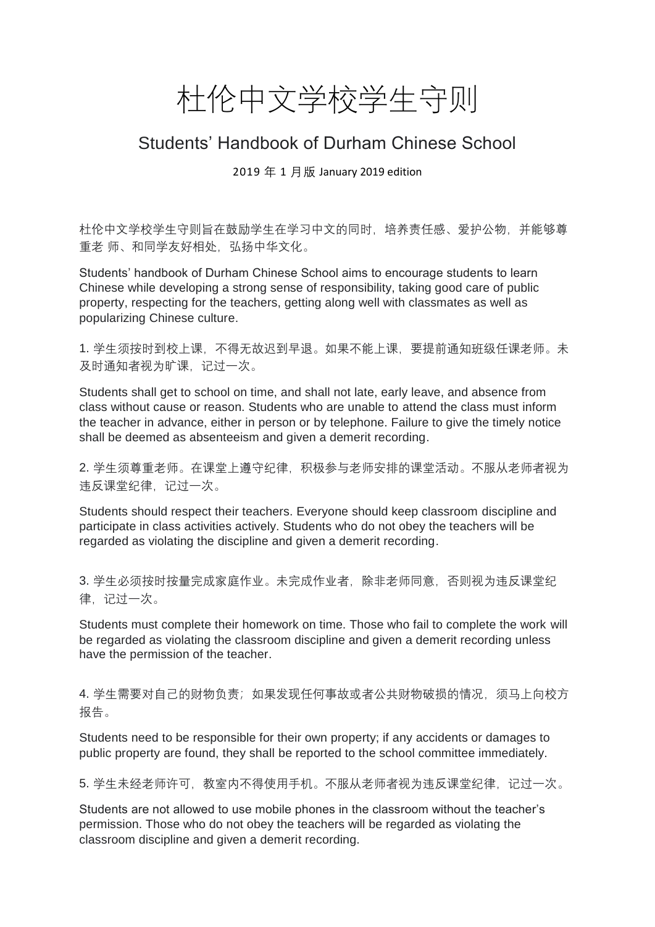## 杜伦中文学校学生守则

## Students' Handbook of Durham Chinese School

2019 年 1 月版 January 2019 edition

杜伦中文学校学生守则旨在鼓励学生在学习中文的同时,培养责任感、爱护公物,并能够尊 重老 师、和同学友好相处, 弘扬中华文化。

Students' handbook of Durham Chinese School aims to encourage students to learn Chinese while developing a strong sense of responsibility, taking good care of public property, respecting for the teachers, getting along well with classmates as well as popularizing Chinese culture.

1. 学生须按时到校上课,不得无故迟到早退。如果不能上课,要提前通知班级任课老师。未 及时通知者视为旷课,记过一次。

Students shall get to school on time, and shall not late, early leave, and absence from class without cause or reason. Students who are unable to attend the class must inform the teacher in advance, either in person or by telephone. Failure to give the timely notice shall be deemed as absenteeism and given a demerit recording.

2. 学生须尊重老师。在课堂上遵守纪律,积极参与老师安排的课堂活动。不服从老师者视为 违反课堂纪律,记过一次。

Students should respect their teachers. Everyone should keep classroom discipline and participate in class activities actively. Students who do not obey the teachers will be regarded as violating the discipline and given a demerit recording.

3. 学生必须按时按量完成家庭作业。未完成作业者,除非老师同意,否则视为违反课堂纪 律,记过一次。

Students must complete their homework on time. Those who fail to complete the work will be regarded as violating the classroom discipline and given a demerit recording unless have the permission of the teacher.

4. 学生需要对自己的财物负责;如果发现任何事故或者公共财物破损的情况, 须马上向校方 报告。

Students need to be responsible for their own property; if any accidents or damages to public property are found, they shall be reported to the school committee immediately.

5. 学生未经老师许可, 教室内不得使用手机。不服从老师者视为违反课堂纪律, 记过一次。

Students are not allowed to use mobile phones in the classroom without the teacher's permission. Those who do not obey the teachers will be regarded as violating the classroom discipline and given a demerit recording.